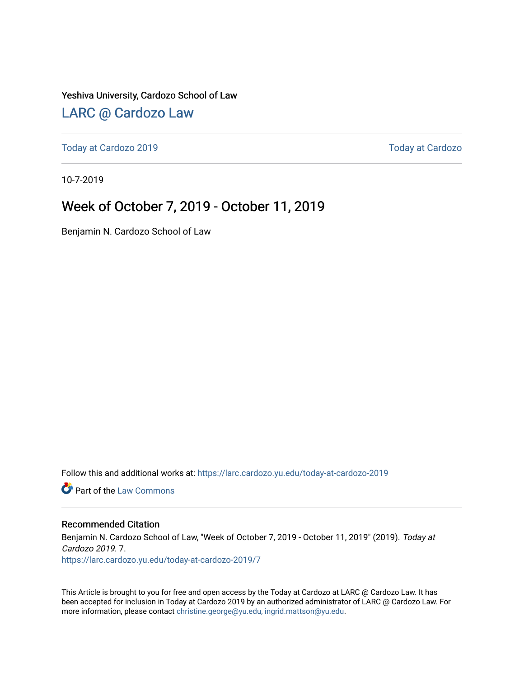Yeshiva University, Cardozo School of Law

#### [LARC @ Cardozo Law](https://larc.cardozo.yu.edu/)

[Today at Cardozo 2019](https://larc.cardozo.yu.edu/today-at-cardozo-2019) [Today at Cardozo](https://larc.cardozo.yu.edu/today-at-cardozo) 

10-7-2019

#### Week of October 7, 2019 - October 11, 2019

Benjamin N. Cardozo School of Law

Follow this and additional works at: [https://larc.cardozo.yu.edu/today-at-cardozo-2019](https://larc.cardozo.yu.edu/today-at-cardozo-2019?utm_source=larc.cardozo.yu.edu%2Ftoday-at-cardozo-2019%2F7&utm_medium=PDF&utm_campaign=PDFCoverPages)

**C** Part of the [Law Commons](http://network.bepress.com/hgg/discipline/578?utm_source=larc.cardozo.yu.edu%2Ftoday-at-cardozo-2019%2F7&utm_medium=PDF&utm_campaign=PDFCoverPages)

#### Recommended Citation

Benjamin N. Cardozo School of Law, "Week of October 7, 2019 - October 11, 2019" (2019). Today at Cardozo 2019. 7. [https://larc.cardozo.yu.edu/today-at-cardozo-2019/7](https://larc.cardozo.yu.edu/today-at-cardozo-2019/7?utm_source=larc.cardozo.yu.edu%2Ftoday-at-cardozo-2019%2F7&utm_medium=PDF&utm_campaign=PDFCoverPages) 

This Article is brought to you for free and open access by the Today at Cardozo at LARC @ Cardozo Law. It has been accepted for inclusion in Today at Cardozo 2019 by an authorized administrator of LARC @ Cardozo Law. For more information, please contact [christine.george@yu.edu, ingrid.mattson@yu.edu](mailto:christine.george@yu.edu,%20ingrid.mattson@yu.edu).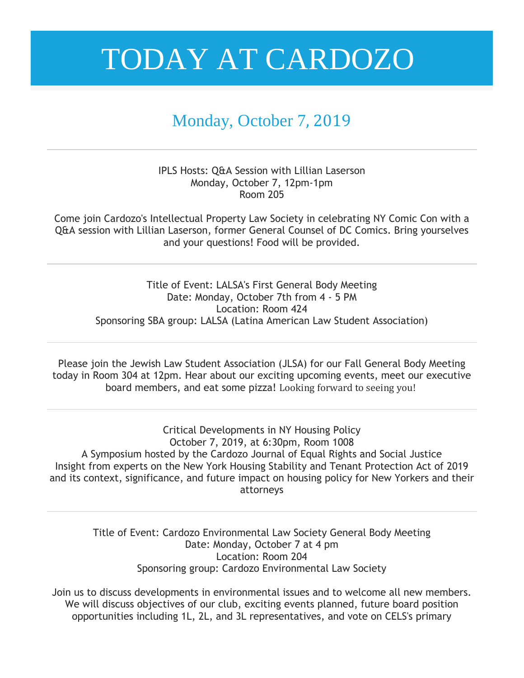#### Monday, October 7, 2019

IPLS Hosts: Q&A Session with Lillian Laserson Monday, October 7, 12pm-1pm Room 205

Come join Cardozo's Intellectual Property Law Society in celebrating NY Comic Con with a Q&A session with Lillian Laserson, former General Counsel of DC Comics. Bring yourselves and your questions! Food will be provided.

Title of Event: LALSA's First General Body Meeting Date: Monday, October 7th from 4 - 5 PM Location: Room 424 Sponsoring SBA group: LALSA (Latina American Law Student Association)

Please join the Jewish Law Student Association (JLSA) for our Fall General Body Meeting today in Room 304 at 12pm. Hear about our exciting upcoming events, meet our executive board members, and eat some pizza! Looking forward to seeing you!

Critical Developments in NY Housing Policy October 7, 2019, at 6:30pm, Room 1008 A Symposium hosted by the Cardozo Journal of Equal Rights and Social Justice Insight from experts on the New York Housing Stability and Tenant Protection Act of 2019 and its context, significance, and future impact on housing policy for New Yorkers and their attorneys

> Title of Event: Cardozo Environmental Law Society General Body Meeting Date: Monday, October 7 at 4 pm Location: Room 204 Sponsoring group: Cardozo Environmental Law Society

Join us to discuss developments in environmental issues and to welcome all new members. We will discuss objectives of our club, exciting events planned, future board position opportunities including 1L, 2L, and 3L representatives, and vote on CELS's primary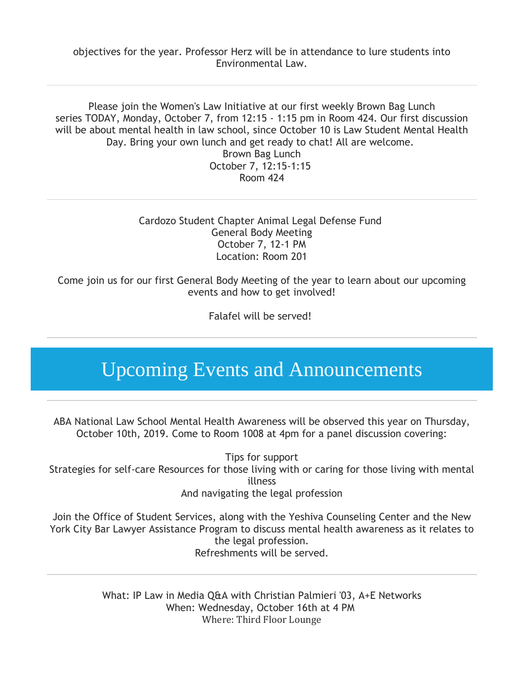objectives for the year. Professor Herz will be in attendance to lure students into Environmental Law.

Please join the Women's Law Initiative at our first weekly Brown Bag Lunch series TODAY, Monday, October 7, from 12:15 - 1:15 pm in Room 424. Our first discussion will be about mental health in law school, since October 10 is Law Student Mental Health Day. Bring your own lunch and get ready to chat! All are welcome. Brown Bag Lunch October 7, 12:15-1:15 Room 424

> Cardozo Student Chapter Animal Legal Defense Fund General Body Meeting October 7, 12-1 PM Location: Room 201

Come join us for our first General Body Meeting of the year to learn about our upcoming events and how to get involved!

Falafel will be served!

### Upcoming Events and Announcements

ABA National Law School Mental Health Awareness will be observed this year on Thursday, October 10th, 2019. Come to Room 1008 at 4pm for a panel discussion covering:

Tips for support Strategies for self-care Resources for those living with or caring for those living with mental illness And navigating the legal profession

Join the Office of Student Services, along with the Yeshiva Counseling Center and the New York City Bar Lawyer Assistance Program to discuss mental health awareness as it relates to the legal profession. Refreshments will be served.

> What: IP Law in Media Q&A with Christian Palmieri '03, A+E Networks When: Wednesday, October 16th at 4 PM Where: Third Floor Lounge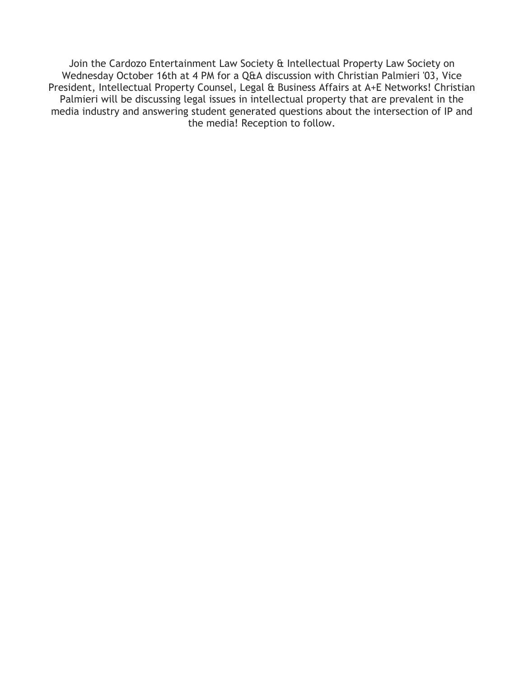Join the Cardozo Entertainment Law Society & Intellectual Property Law Society on Wednesday October 16th at 4 PM for a Q&A discussion with Christian Palmieri '03, Vice President, Intellectual Property Counsel, Legal & Business Affairs at A+E Networks! Christian Palmieri will be discussing legal issues in intellectual property that are prevalent in the media industry and answering student generated questions about the intersection of IP and the media! Reception to follow.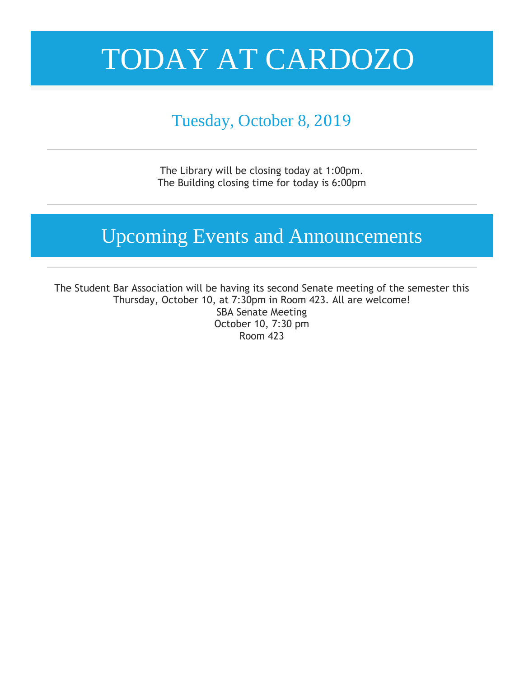#### Tuesday, October 8, 2019

The Library will be closing today at 1:00pm. The Building closing time for today is 6:00pm

### Upcoming Events and Announcements

The Student Bar Association will be having its second Senate meeting of the semester this Thursday, October 10, at 7:30pm in Room 423. All are welcome! SBA Senate Meeting October 10, 7:30 pm Room 423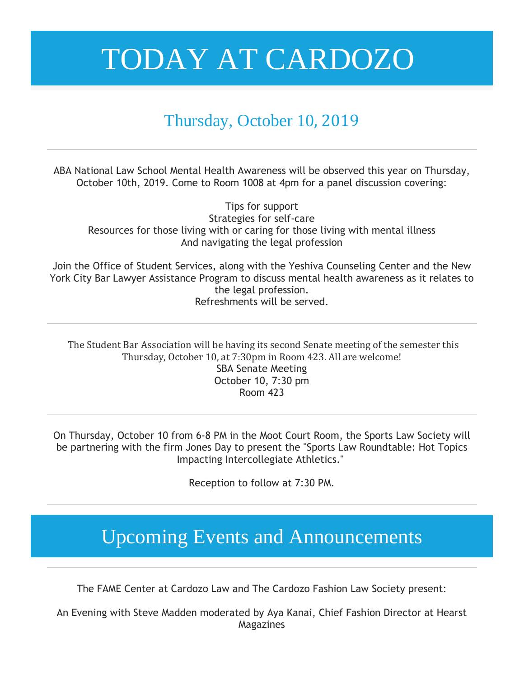#### Thursday, October 10, 2019

ABA National Law School Mental Health Awareness will be observed this year on Thursday, October 10th, 2019. Come to Room 1008 at 4pm for a panel discussion covering:

Tips for support Strategies for self-care Resources for those living with or caring for those living with mental illness And navigating the legal profession

Join the Office of Student Services, along with the Yeshiva Counseling Center and the New York City Bar Lawyer Assistance Program to discuss mental health awareness as it relates to the legal profession. Refreshments will be served.

The Student Bar Association will be having its second Senate meeting of the semester this Thursday, October 10, at 7:30pm in Room 423. All are welcome! SBA Senate Meeting October 10, 7:30 pm Room 423

On Thursday, October 10 from 6-8 PM in the Moot Court Room, the Sports Law Society will be partnering with the firm Jones Day to present the "Sports Law Roundtable: Hot Topics Impacting Intercollegiate Athletics."

Reception to follow at 7:30 PM.

### Upcoming Events and Announcements

The FAME Center at Cardozo Law and The Cardozo Fashion Law Society present:

An Evening with Steve Madden moderated by Aya Kanai, Chief Fashion Director at Hearst Magazines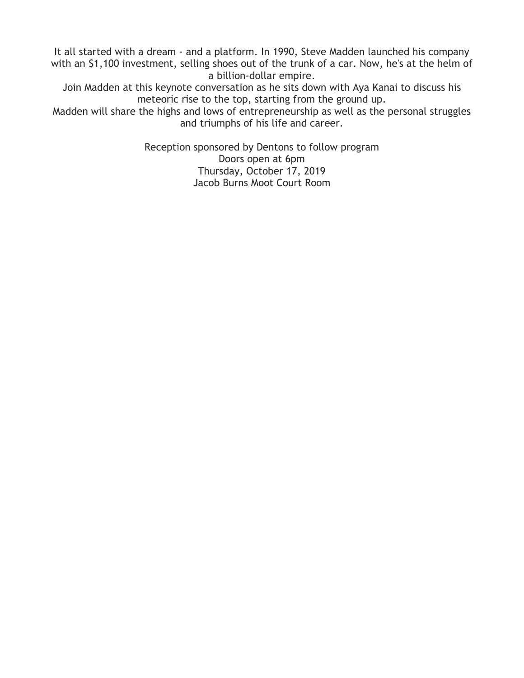It all started with a dream - and a platform. In 1990, Steve Madden launched his company with an \$1,100 investment, selling shoes out of the trunk of a car. Now, he's at the helm of a billion-dollar empire.

Join Madden at this keynote conversation as he sits down with Aya Kanai to discuss his meteoric rise to the top, starting from the ground up.

Madden will share the highs and lows of entrepreneurship as well as the personal struggles and triumphs of his life and career.

> Reception sponsored by Dentons to follow program Doors open at 6pm Thursday, October 17, 2019 Jacob Burns Moot Court Room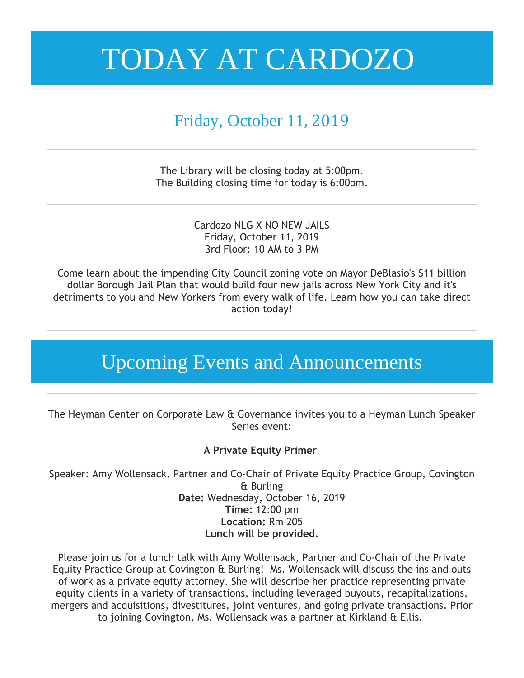#### Friday, October 11, 2019

The Library will be closing today at 5:00pm. The Building closing time for today is 6:00pm.

> Cardozo NLG X NO NEW JAILS Friday, October 11, 2019 3rd Floor: 10 AM to 3 PM

Come learn about the impending City Council zoning vote on Mayor DeBlasio's \$11 billion dollar Borough Jail Plan that would build four new jails across New York City and it's detriments to you and New Yorkers from every walk of life. Learn how you can take direct action today!

### Upcoming Events and Announcements

The Heyman Center on Corporate Law & Governance invites you to a Heyman Lunch Speaker Series event:

#### **A Private Equity Primer**

Speaker: Amy Wollensack, Partner and Co-Chair of Private Equity Practice Group, Covington & Burling **Date:** Wednesday, October 16, 2019 **Time:** 12:00 pm **Location:** Rm 205 **Lunch will be provided.**

Please join us for a lunch talk with Amy Wollensack, Partner and Co-Chair of the Private Equity Practice Group at Covington & Burling! Ms. Wollensack will discuss the ins and outs of work as a private equity attorney. She will describe her practice representing private equity clients in a variety of transactions, including leveraged buyouts, recapitalizations, mergers and acquisitions, divestitures, joint ventures, and going private transactions. Prior to joining Covington, Ms. Wollensack was a partner at Kirkland & Ellis.